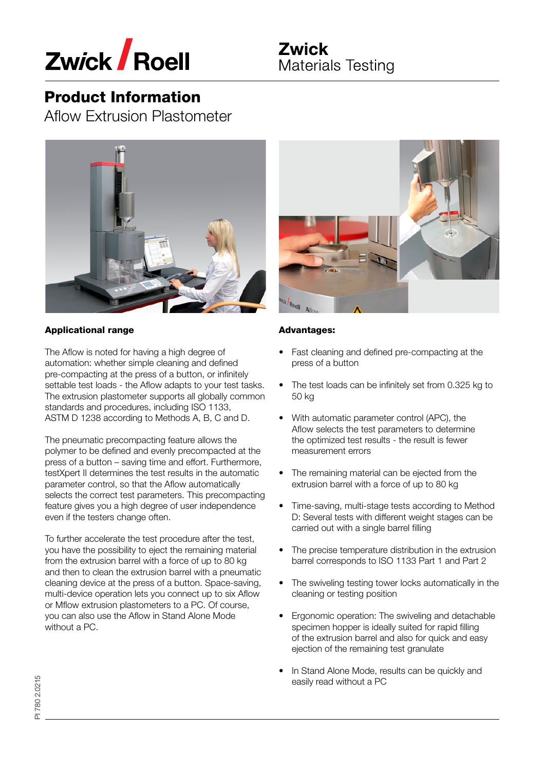

Aflow Extrusion Plastometer



## Applicational range

The Aflow is noted for having a high degree of automation: whether simple cleaning and defined pre-compacting at the press of a button, or infinitely settable test loads - the Aflow adapts to your test tasks. The extrusion plastometer supports all globally common standards and procedures, including ISO 1133, ASTM D 1238 according to Methods A, B, C and D.

The pneumatic precompacting feature allows the polymer to be defined and evenly precompacted at the press of a button – saving time and effort. Furthermore, testXpert II determines the test results in the automatic parameter control, so that the Aflow automatically selects the correct test parameters. This precompacting feature gives you a high degree of user independence even if the testers change often.

To further accelerate the test procedure after the test, you have the possibility to eject the remaining material from the extrusion barrel with a force of up to 80 kg and then to clean the extrusion barrel with a pneumatic cleaning device at the press of a button. Space-saving, multi-device operation lets you connect up to six Aflow or Mflow extrusion plastometers to a PC. Of course, you can also use the Aflow in Stand Alone Mode without a PC.



### Advantages:

- Fast cleaning and defined pre-compacting at the press of a button
- The test loads can be infinitely set from 0.325 kg to 50 kg
- With automatic parameter control (APC), the Aflow selects the test parameters to determine the optimized test results - the result is fewer measurement errors
- The remaining material can be ejected from the extrusion barrel with a force of up to 80 kg
- Time-saving, multi-stage tests according to Method D: Several tests with different weight stages can be carried out with a single barrel filling
- The precise temperature distribution in the extrusion barrel corresponds to ISO 1133 Part 1 and Part 2
- The swiveling testing tower locks automatically in the cleaning or testing position
- Ergonomic operation: The swiveling and detachable specimen hopper is ideally suited for rapid filling of the extrusion barrel and also for quick and easy ejection of the remaining test granulate
- In Stand Alone Mode, results can be quickly and easily read without a PC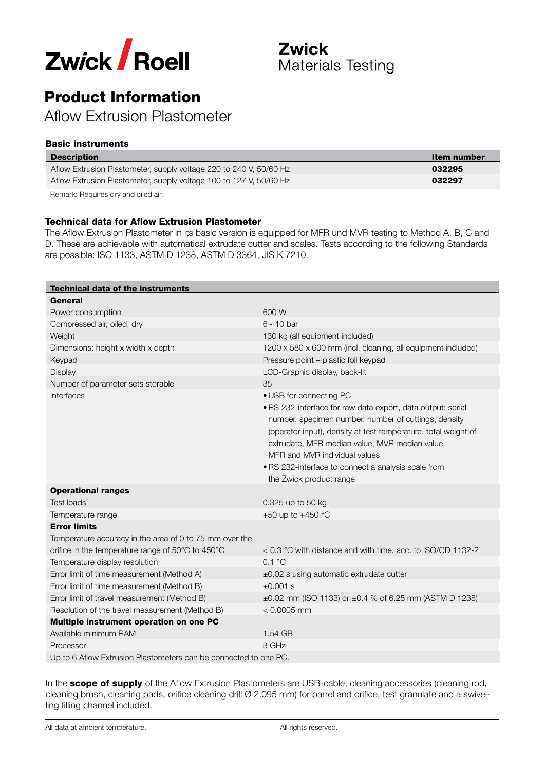

Aflow Extrusion Plastometer

## Basic instruments

| <b>Description</b>                                                 | Item number |
|--------------------------------------------------------------------|-------------|
| Aflow Extrusion Plastometer, supply voltage 220 to 240 V, 50/60 Hz | 032295      |
| Aflow Extrusion Plastometer, supply voltage 100 to 127 V, 50/60 Hz | 032297      |
| .                                                                  |             |

Remark: Requires dry and oiled air.

### Technical data for Aflow Extrusion Plastometer

The Aflow Extrusion Plastometer in its basic version is equipped for MFR und MVR testing to Method A, B, C and D. These are achievable with automatical extrudate cutter and scales. Tests according to the following Standards are possible: ISO 1133, ASTM D 1238, ASTM D 3364, JIS K 7210.

| <b>Technical data of the instruments</b>                         |                                                                                                                                                                                                                                                                                                                                                                                       |
|------------------------------------------------------------------|---------------------------------------------------------------------------------------------------------------------------------------------------------------------------------------------------------------------------------------------------------------------------------------------------------------------------------------------------------------------------------------|
| General                                                          |                                                                                                                                                                                                                                                                                                                                                                                       |
| Power consumption                                                | 600 W                                                                                                                                                                                                                                                                                                                                                                                 |
| Compressed air, oiled, dry                                       | 6 - 10 bar                                                                                                                                                                                                                                                                                                                                                                            |
| Weight                                                           | 130 kg (all equipment included)                                                                                                                                                                                                                                                                                                                                                       |
| Dimensions: height x width x depth                               | 1200 x 580 x 600 mm (incl. cleaning, all equipment included)                                                                                                                                                                                                                                                                                                                          |
| Keypad                                                           | Pressure point - plastic foil keypad                                                                                                                                                                                                                                                                                                                                                  |
| Display                                                          | LCD-Graphic display, back-lit                                                                                                                                                                                                                                                                                                                                                         |
| Number of parameter sets storable                                | 35                                                                                                                                                                                                                                                                                                                                                                                    |
| Interfaces                                                       | • USB for connecting PC<br>· RS 232-interface for raw data export, data output: serial<br>number, specimen number, number of cuttings, density<br>(operator input), density at test temperature, total weight of<br>extrudate, MFR median value, MVR median value,<br>MFR and MVR individual values<br>· RS 232-interface to connect a analysis scale from<br>the Zwick product range |
| <b>Operational ranges</b>                                        |                                                                                                                                                                                                                                                                                                                                                                                       |
| Test loads                                                       | 0.325 up to 50 kg                                                                                                                                                                                                                                                                                                                                                                     |
| Temperature range                                                | +50 up to +450 $^{\circ}$ C                                                                                                                                                                                                                                                                                                                                                           |
| <b>Error limits</b>                                              |                                                                                                                                                                                                                                                                                                                                                                                       |
| Temperature accuracy in the area of 0 to 75 mm over the          |                                                                                                                                                                                                                                                                                                                                                                                       |
| orifice in the temperature range of 50°C to 450°C                | < 0.3 °C with distance and with time, acc. to ISO/CD 1132-2                                                                                                                                                                                                                                                                                                                           |
| Temperature display resolution                                   | $0.1 \text{ }^{\circ}C$                                                                                                                                                                                                                                                                                                                                                               |
| Error limit of time measurement (Method A)                       | $\pm 0.02$ s using automatic extrudate cutter                                                                                                                                                                                                                                                                                                                                         |
| Error limit of time measurement (Method B)                       | $±0.001$ s                                                                                                                                                                                                                                                                                                                                                                            |
| Error limit of travel measurement (Method B)                     | ±0.02 mm (ISO 1133) or ±0.4 % of 6.25 mm (ASTM D 1238)                                                                                                                                                                                                                                                                                                                                |
| Resolution of the travel measurement (Method B)                  | $< 0.0005$ mm                                                                                                                                                                                                                                                                                                                                                                         |
| Multiple instrument operation on one PC                          |                                                                                                                                                                                                                                                                                                                                                                                       |
| Available minimum RAM                                            | 1.54 GB                                                                                                                                                                                                                                                                                                                                                                               |
| Processor                                                        | 3 GHz                                                                                                                                                                                                                                                                                                                                                                                 |
| Up to 6 Aflow Extrusion Plastometers can be connected to one PC. |                                                                                                                                                                                                                                                                                                                                                                                       |

In the scope of supply of the Aflow Extrusion Plastometers are USB-cable, cleaning accessories (cleaning rod, cleaning brush, cleaning pads, orifice cleaning drill Ø 2.095 mm) for barrel and orifice, test granulate and a swivelling filling channel included.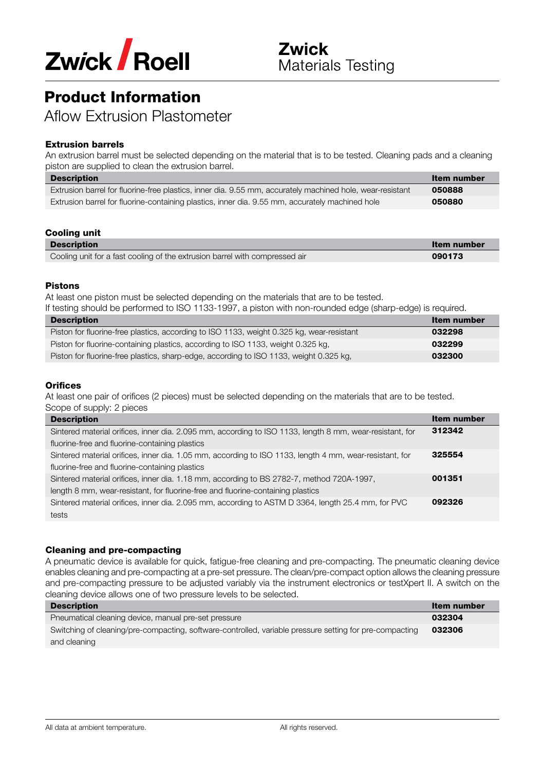

Aflow Extrusion Plastometer

## Extrusion barrels

An extrusion barrel must be selected depending on the material that is to be tested. Cleaning pads and a cleaning piston are supplied to clean the extrusion barrel.

| <b>Description</b>                                                                                        | Item number |
|-----------------------------------------------------------------------------------------------------------|-------------|
| Extrusion barrel for fluorine-free plastics, inner dia. 9.55 mm, accurately machined hole, wear-resistant | 050888      |
| Extrusion barrel for fluorine-containing plastics, inner dia. 9.55 mm, accurately machined hole           | 050880      |

#### Cooling unit

| <b>Description</b>                                                          | Item number |
|-----------------------------------------------------------------------------|-------------|
| Cooling unit for a fast cooling of the extrusion barrel with compressed air | 090173      |
|                                                                             |             |

#### Pistons

At least one piston must be selected depending on the materials that are to be tested.

If testing should be performed to ISO 1133-1997, a piston with non-rounded edge (sharp-edge) is required.

| <b>Description</b>                                                                        | Item number |
|-------------------------------------------------------------------------------------------|-------------|
| Piston for fluorine-free plastics, according to ISO 1133, weight 0.325 kg, wear-resistant | 032298      |
| Piston for fluorine-containing plastics, according to ISO 1133, weight 0.325 kg,          | 032299      |
| Piston for fluorine-free plastics, sharp-edge, according to ISO 1133, weight 0.325 kg,    | 032300      |

#### **Orifices**

At least one pair of orifices (2 pieces) must be selected depending on the materials that are to be tested. Scope of supply: 2 pieces

| <b>Description</b>                                                                                       | Item number |
|----------------------------------------------------------------------------------------------------------|-------------|
| Sintered material orifices, inner dia. 2.095 mm, according to ISO 1133, length 8 mm, wear-resistant, for | 312342      |
| fluorine-free and fluorine-containing plastics                                                           |             |
| Sintered material orifices, inner dia. 1.05 mm, according to ISO 1133, length 4 mm, wear-resistant, for  | 325554      |
| fluorine-free and fluorine-containing plastics                                                           |             |
| Sintered material orifices, inner dia. 1.18 mm, according to BS 2782-7, method 720A-1997,                | 001351      |
| length 8 mm, wear-resistant, for fluorine-free and fluorine-containing plastics                          |             |
| Sintered material orifices, inner dia. 2.095 mm, according to ASTM D 3364, length 25.4 mm, for PVC       | 092326      |
| tests                                                                                                    |             |

### Cleaning and pre-compacting

A pneumatic device is available for quick, fatigue-free cleaning and pre-compacting. The pneumatic cleaning device enables cleaning and pre-compacting at a pre-set pressure. The clean/pre-compact option allows the cleaning pressure and pre-compacting pressure to be adjusted variably via the instrument electronics or testXpert II. A switch on the cleaning device allows one of two pressure levels to be selected.

| <b>Description</b>                                                                                      | Item number |
|---------------------------------------------------------------------------------------------------------|-------------|
| Pneumatical cleaning device, manual pre-set pressure                                                    | 032304      |
| Switching of cleaning/pre-compacting, software-controlled, variable pressure setting for pre-compacting | 032306      |
| and cleaning                                                                                            |             |